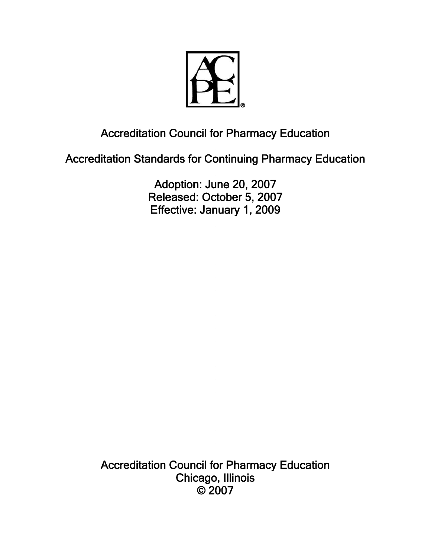

# Accreditation Council for Pharmacy Education

Accreditation Standards for Continuing Pharmacy Education

Adoption: June 20, 2007 Released: October 5, 2007 Effective: January 1, 2009

Accreditation Council for Pharmacy Education Chicago, Illinois © 2007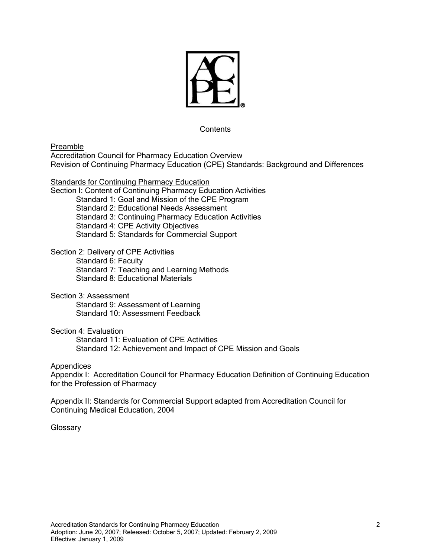

## **Contents**

Preamble

Accreditation Council for Pharmacy Education Overview Revision of Continuing Pharmacy Education (CPE) Standards: Background and Differences

#### Standards for Continuing Pharmacy Education

Section I: Content of Continuing Pharmacy Education Activities Standard 1: Goal and Mission of the CPE Program Standard 2: Educational Needs Assessment Standard 3: Continuing Pharmacy Education Activities Standard 4: CPE Activity Objectives Standard 5: Standards for Commercial Support

Section 2: Delivery of CPE Activities

 Standard 6: Faculty Standard 7: Teaching and Learning Methods Standard 8: Educational Materials

#### Section 3: Assessment

 Standard 9: Assessment of Learning Standard 10: Assessment Feedback

## Section 4: Evaluation

 Standard 11: Evaluation of CPE Activities Standard 12: Achievement and Impact of CPE Mission and Goals

#### Appendices

Appendix I: Accreditation Council for Pharmacy Education Definition of Continuing Education for the Profession of Pharmacy

Appendix II: Standards for Commercial Support adapted from Accreditation Council for Continuing Medical Education, 2004

## **Glossary**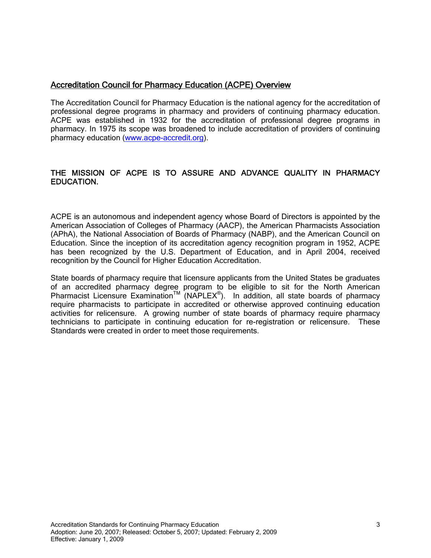# Accreditation Council for Pharmacy Education (ACPE) Overview

The Accreditation Council for Pharmacy Education is the national agency for the accreditation of professional degree programs in pharmacy and providers of continuing pharmacy education. ACPE was established in 1932 for the accreditation of professional degree programs in pharmacy. In 1975 its scope was broadened to include accreditation of providers of continuing pharmacy education (www.acpe-accredit.org).

# THE MISSION OF ACPE IS TO ASSURE AND ADVANCE QUALITY IN PHARMACY EDUCATION.

ACPE is an autonomous and independent agency whose Board of Directors is appointed by the American Association of Colleges of Pharmacy (AACP), the American Pharmacists Association (APhA), the National Association of Boards of Pharmacy (NABP), and the American Council on Education. Since the inception of its accreditation agency recognition program in 1952, ACPE has been recognized by the U.S. Department of Education, and in April 2004, received recognition by the Council for Higher Education Accreditation.

State boards of pharmacy require that licensure applicants from the United States be graduates of an accredited pharmacy degree program to be eligible to sit for the North American Pharmacist Licensure ExaminationTM (NAPLEX®). In addition, all state boards of pharmacy require pharmacists to participate in accredited or otherwise approved continuing education activities for relicensure. A growing number of state boards of pharmacy require pharmacy technicians to participate in continuing education for re-registration or relicensure. These Standards were created in order to meet those requirements.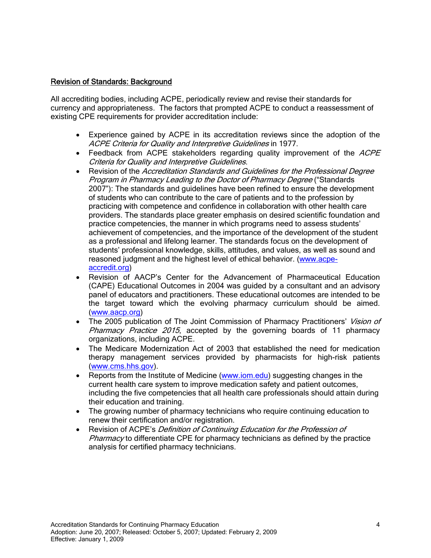## Revision of Standards: Background

All accrediting bodies, including ACPE, periodically review and revise their standards for currency and appropriateness. The factors that prompted ACPE to conduct a reassessment of existing CPE requirements for provider accreditation include:

- Experience gained by ACPE in its accreditation reviews since the adoption of the ACPE Criteria for Quality and Interpretive Guidelines in 1977.
- Feedback from ACPE stakeholders regarding quality improvement of the ACPE Criteria for Quality and Interpretive Guidelines.
- Revision of the Accreditation Standards and Guidelines for the Professional Degree Program in Pharmacy Leading to the Doctor of Pharmacy Degree ("Standards 2007"): The standards and guidelines have been refined to ensure the development of students who can contribute to the care of patients and to the profession by practicing with competence and confidence in collaboration with other health care providers. The standards place greater emphasis on desired scientific foundation and practice competencies, the manner in which programs need to assess students' achievement of competencies, and the importance of the development of the student as a professional and lifelong learner. The standards focus on the development of students' professional knowledge, skills, attitudes, and values, as well as sound and reasoned judgment and the highest level of ethical behavior. (www.acpeaccredit.org)
- Revision of AACP's Center for the Advancement of Pharmaceutical Education (CAPE) Educational Outcomes in 2004 was guided by a consultant and an advisory panel of educators and practitioners. These educational outcomes are intended to be the target toward which the evolving pharmacy curriculum should be aimed. (www.aacp.org)
- The 2005 publication of The Joint Commission of Pharmacy Practitioners' Vision of Pharmacy Practice 2015, accepted by the governing boards of 11 pharmacy organizations, including ACPE.
- The Medicare Modernization Act of 2003 that established the need for medication therapy management services provided by pharmacists for high-risk patients (www.cms.hhs.gov).
- Reports from the Institute of Medicine (www.iom.edu) suggesting changes in the current health care system to improve medication safety and patient outcomes, including the five competencies that all health care professionals should attain during their education and training.
- The growing number of pharmacy technicians who require continuing education to renew their certification and/or registration.
- Revision of ACPE's *Definition of Continuing Education for the Profession of* Pharmacy to differentiate CPE for pharmacy technicians as defined by the practice analysis for certified pharmacy technicians.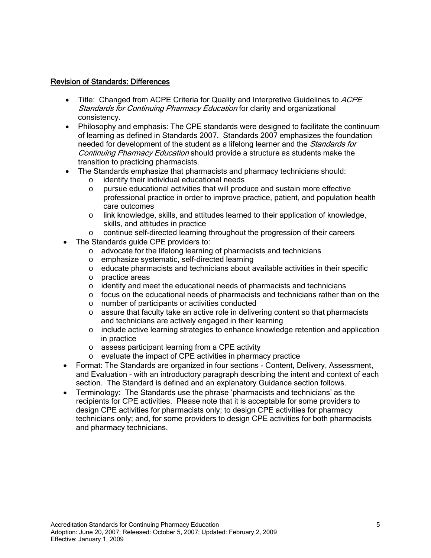## Revision of Standards: Differences

- Title: Changed from ACPE Criteria for Quality and Interpretive Guidelines to ACPE Standards for Continuing Pharmacy Education for clarity and organizational consistency.
- Philosophy and emphasis: The CPE standards were designed to facilitate the continuum of learning as defined in Standards 2007. Standards 2007 emphasizes the foundation needed for development of the student as a lifelong learner and the *Standards for* Continuing Pharmacy Education should provide a structure as students make the transition to practicing pharmacists.
- The Standards emphasize that pharmacists and pharmacy technicians should:
	- o identify their individual educational needs
	- o pursue educational activities that will produce and sustain more effective professional practice in order to improve practice, patient, and population health care outcomes
	- $\circ$  link knowledge, skills, and attitudes learned to their application of knowledge, skills, and attitudes in practice
	- o continue self-directed learning throughout the progression of their careers
- The Standards guide CPE providers to:
	- o advocate for the lifelong learning of pharmacists and technicians
	- o emphasize systematic, self-directed learning
	- $\circ$  educate pharmacists and technicians about available activities in their specific
	- o practice areas
	- o identify and meet the educational needs of pharmacists and technicians
	- o focus on the educational needs of pharmacists and technicians rather than on the
	- o number of participants or activities conducted
	- o assure that faculty take an active role in delivering content so that pharmacists and technicians are actively engaged in their learning
	- $\circ$  include active learning strategies to enhance knowledge retention and application in practice
	- o assess participant learning from a CPE activity
	- o evaluate the impact of CPE activities in pharmacy practice
- Format: The Standards are organized in four sections Content, Delivery, Assessment, and Evaluation - with an introductory paragraph describing the intent and context of each section. The Standard is defined and an explanatory Guidance section follows.
- Terminology: The Standards use the phrase 'pharmacists and technicians' as the recipients for CPE activities. Please note that it is acceptable for some providers to design CPE activities for pharmacists only; to design CPE activities for pharmacy technicians only; and, for some providers to design CPE activities for both pharmacists and pharmacy technicians.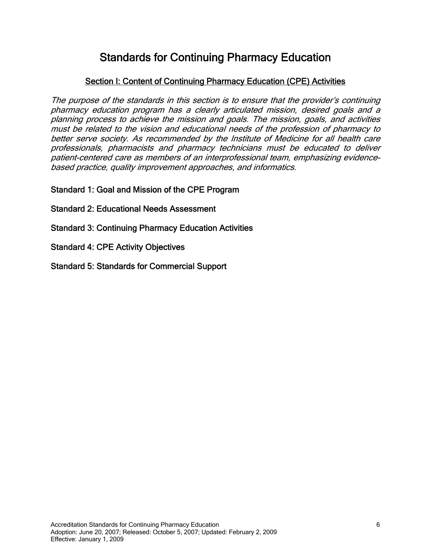# Standards for Continuing Pharmacy Education

# Section I: Content of Continuing Pharmacy Education (CPE) Activities

The purpose of the standards in this section is to ensure that the provider's continuing pharmacy education program has a clearly articulated mission, desired goals and a planning process to achieve the mission and goals. The mission, goals, and activities must be related to the vision and educational needs of the profession of pharmacy to better serve society. As recommended by the Institute of Medicine for all health care professionals, pharmacists and pharmacy technicians must be educated to deliver patient-centered care as members of an interprofessional team, emphasizing evidencebased practice, quality improvement approaches, and informatics.

Standard 1: Goal and Mission of the CPE Program

Standard 2: Educational Needs Assessment

Standard 3: Continuing Pharmacy Education Activities

Standard 4: CPE Activity Objectives

Standard 5: Standards for Commercial Support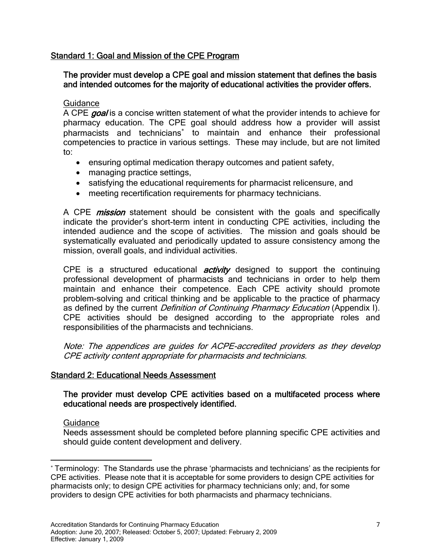# Standard 1: Goal and Mission of the CPE Program

# The provider must develop a CPE goal and mission statement that defines the basis and intended outcomes for the majority of educational activities the provider offers.

# **Guidance**

A CPE goal is a concise written statement of what the provider intends to achieve for pharmacy education. The CPE goal should address how a provider will assist pharmacists and technicians<sup>∗</sup> to maintain and enhance their professional competencies to practice in various settings. These may include, but are not limited to:

- ensuring optimal medication therapy outcomes and patient safety,
- managing practice settings,
- satisfying the educational requirements for pharmacist relicensure, and
- meeting recertification requirements for pharmacy technicians.

A CPE *mission* statement should be consistent with the goals and specifically indicate the provider's short-term intent in conducting CPE activities, including the intended audience and the scope of activities. The mission and goals should be systematically evaluated and periodically updated to assure consistency among the mission, overall goals, and individual activities.

CPE is a structured educational *activity* designed to support the continuing professional development of pharmacists and technicians in order to help them maintain and enhance their competence. Each CPE activity should promote problem-solving and critical thinking and be applicable to the practice of pharmacy as defined by the current *Definition of Continuing Pharmacy Education* (Appendix I). CPE activities should be designed according to the appropriate roles and responsibilities of the pharmacists and technicians.

Note: The appendices are guides for ACPE-accredited providers as they develop CPE activity content appropriate for pharmacists and technicians.

# Standard 2: Educational Needs Assessment

# The provider must develop CPE activities based on a multifaceted process where educational needs are prospectively identified.

# **Guidance**

Needs assessment should be completed before planning specific CPE activities and should guide content development and delivery.

 $\overline{a}$ <sup>∗</sup> Terminology: The Standards use the phrase 'pharmacists and technicians' as the recipients for CPE activities. Please note that it is acceptable for some providers to design CPE activities for pharmacists only; to design CPE activities for pharmacy technicians only; and, for some providers to design CPE activities for both pharmacists and pharmacy technicians.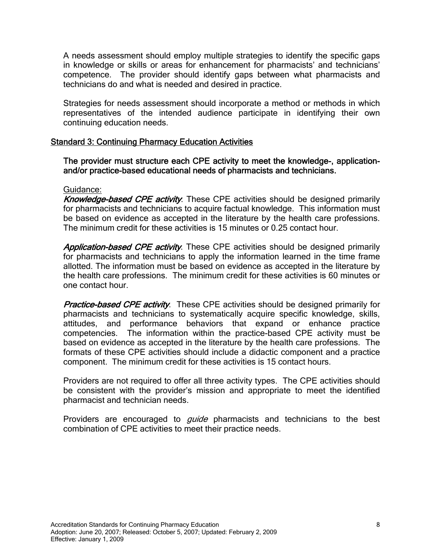A needs assessment should employ multiple strategies to identify the specific gaps in knowledge or skills or areas for enhancement for pharmacists' and technicians' competence. The provider should identify gaps between what pharmacists and technicians do and what is needed and desired in practice.

Strategies for needs assessment should incorporate a method or methods in which representatives of the intended audience participate in identifying their own continuing education needs.

# Standard 3: Continuing Pharmacy Education Activities

# The provider must structure each CPE activity to meet the knowledge-, applicationand/or practice-based educational needs of pharmacists and technicians.

## Guidance:

Knowledge-based CPE activity. These CPE activities should be designed primarily for pharmacists and technicians to acquire factual knowledge. This information must be based on evidence as accepted in the literature by the health care professions. The minimum credit for these activities is 15 minutes or 0.25 contact hour.

Application-based CPE activity. These CPE activities should be designed primarily for pharmacists and technicians to apply the information learned in the time frame allotted. The information must be based on evidence as accepted in the literature by the health care professions. The minimum credit for these activities is 60 minutes or one contact hour.

Practice-based CPE activity. These CPE activities should be designed primarily for pharmacists and technicians to systematically acquire specific knowledge, skills, attitudes, and performance behaviors that expand or enhance practice competencies. The information within the practice-based CPE activity must be based on evidence as accepted in the literature by the health care professions. The formats of these CPE activities should include a didactic component and a practice component. The minimum credit for these activities is 15 contact hours.

Providers are not required to offer all three activity types. The CPE activities should be consistent with the provider's mission and appropriate to meet the identified pharmacist and technician needs.

Providers are encouraged to *quide* pharmacists and technicians to the best combination of CPE activities to meet their practice needs.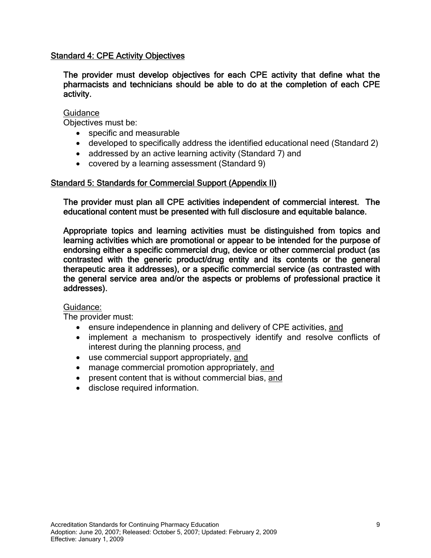# Standard 4: CPE Activity Objectives

The provider must develop objectives for each CPE activity that define what the pharmacists and technicians should be able to do at the completion of each CPE activity.

# **Guidance**

Objectives must be:

- specific and measurable
- developed to specifically address the identified educational need (Standard 2)
- addressed by an active learning activity (Standard 7) and
- covered by a learning assessment (Standard 9)

# Standard 5: Standards for Commercial Support (Appendix II)

The provider must plan all CPE activities independent of commercial interest. The educational content must be presented with full disclosure and equitable balance.

Appropriate topics and learning activities must be distinguished from topics and learning activities which are promotional or appear to be intended for the purpose of endorsing either a specific commercial drug, device or other commercial product (as contrasted with the generic product/drug entity and its contents or the general therapeutic area it addresses), or a specific commercial service (as contrasted with the general service area and/or the aspects or problems of professional practice it addresses).

## Guidance:

The provider must:

- ensure independence in planning and delivery of CPE activities, and
- implement a mechanism to prospectively identify and resolve conflicts of interest during the planning process, and
- use commercial support appropriately, and
- manage commercial promotion appropriately, and
- present content that is without commercial bias, and
- disclose required information.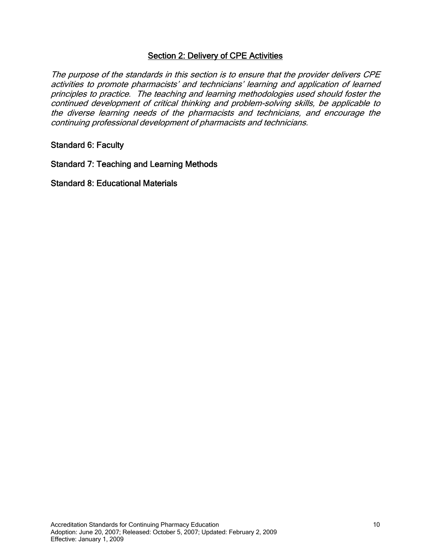# Section 2: Delivery of CPE Activities

The purpose of the standards in this section is to ensure that the provider delivers CPE activities to promote pharmacists' and technicians' learning and application of learned principles to practice. The teaching and learning methodologies used should foster the continued development of critical thinking and problem-solving skills, be applicable to the diverse learning needs of the pharmacists and technicians, and encourage the continuing professional development of pharmacists and technicians.

Standard 6: Faculty

Standard 7: Teaching and Learning Methods

Standard 8: Educational Materials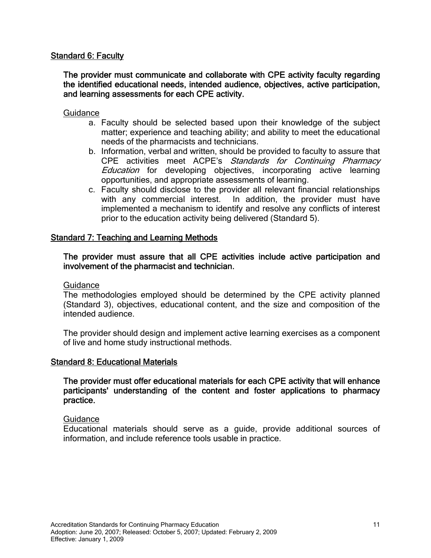# Standard 6: Faculty

# The provider must communicate and collaborate with CPE activity faculty regarding the identified educational needs, intended audience, objectives, active participation, and learning assessments for each CPE activity.

# **Guidance**

- a. Faculty should be selected based upon their knowledge of the subject matter; experience and teaching ability; and ability to meet the educational needs of the pharmacists and technicians.
- b. Information, verbal and written, should be provided to faculty to assure that CPE activities meet ACPE's Standards for Continuing Pharmacy Education for developing objectives, incorporating active learning opportunities, and appropriate assessments of learning.
- c. Faculty should disclose to the provider all relevant financial relationships with any commercial interest. In addition, the provider must have implemented a mechanism to identify and resolve any conflicts of interest prior to the education activity being delivered (Standard 5).

# Standard 7: Teaching and Learning Methods

# The provider must assure that all CPE activities include active participation and involvement of the pharmacist and technician.

## **Guidance**

The methodologies employed should be determined by the CPE activity planned (Standard 3), objectives, educational content, and the size and composition of the intended audience.

The provider should design and implement active learning exercises as a component of live and home study instructional methods.

## Standard 8: Educational Materials

# The provider must offer educational materials for each CPE activity that will enhance participants' understanding of the content and foster applications to pharmacy practice.

## **Guidance**

Educational materials should serve as a guide, provide additional sources of information, and include reference tools usable in practice.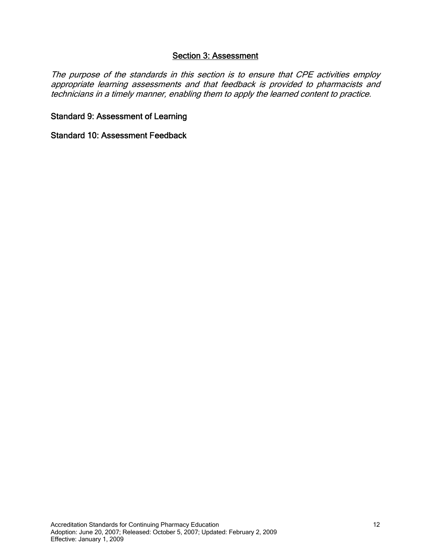# Section 3: Assessment

The purpose of the standards in this section is to ensure that CPE activities employ appropriate learning assessments and that feedback is provided to pharmacists and technicians in a timely manner, enabling them to apply the learned content to practice.

# Standard 9: Assessment of Learning

Standard 10: Assessment Feedback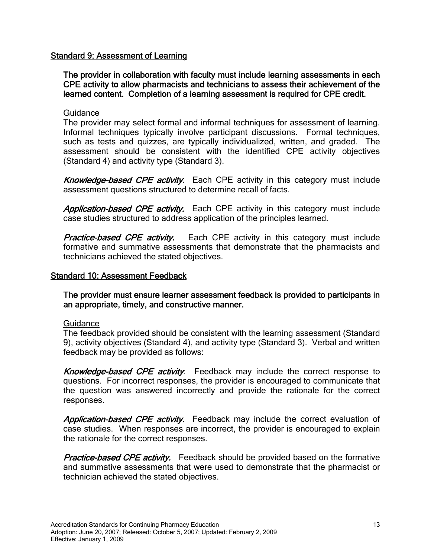# Standard 9: Assessment of Learning

The provider in collaboration with faculty must include learning assessments in each CPE activity to allow pharmacists and technicians to assess their achievement of the learned content. Completion of a learning assessment is required for CPE credit.

# **Guidance**

The provider may select formal and informal techniques for assessment of learning. Informal techniques typically involve participant discussions. Formal techniques, such as tests and quizzes, are typically individualized, written, and graded. The assessment should be consistent with the identified CPE activity objectives (Standard 4) and activity type (Standard 3).

Knowledge-based CPE activity. Each CPE activity in this category must include assessment questions structured to determine recall of facts.

Application-based CPE activity. Each CPE activity in this category must include case studies structured to address application of the principles learned.

**Practice-based CPE activity.** Each CPE activity in this category must include formative and summative assessments that demonstrate that the pharmacists and technicians achieved the stated objectives.

# Standard 10: Assessment Feedback

The provider must ensure learner assessment feedback is provided to participants in an appropriate, timely, and constructive manner.

# Guidance

The feedback provided should be consistent with the learning assessment (Standard 9), activity objectives (Standard 4), and activity type (Standard 3). Verbal and written feedback may be provided as follows:

Knowledge-based CPE activity. Feedback may include the correct response to questions. For incorrect responses, the provider is encouraged to communicate that the question was answered incorrectly and provide the rationale for the correct responses.

Application-based CPE activity. Feedback may include the correct evaluation of case studies. When responses are incorrect, the provider is encouraged to explain the rationale for the correct responses.

**Practice-based CPE activity.** Feedback should be provided based on the formative and summative assessments that were used to demonstrate that the pharmacist or technician achieved the stated objectives.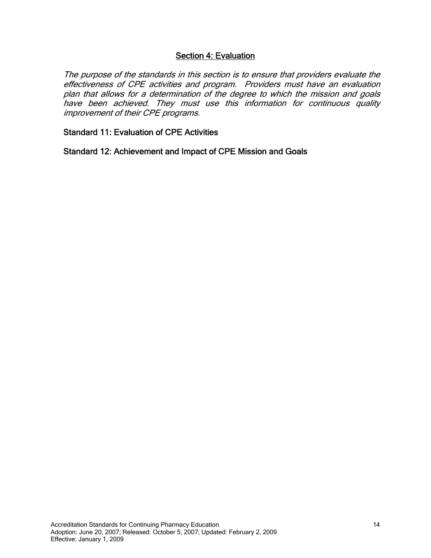# Section 4: Evaluation

The purpose of the standards in this section is to ensure that providers evaluate the effectiveness of CPE activities and program. Providers must have an evaluation plan that allows for a determination of the degree to which the mission and goals have been achieved. They must use this information for continuous quality improvement of their CPE programs.

Standard 11: Evaluation of CPE Activities

Standard 12: Achievement and Impact of CPE Mission and Goals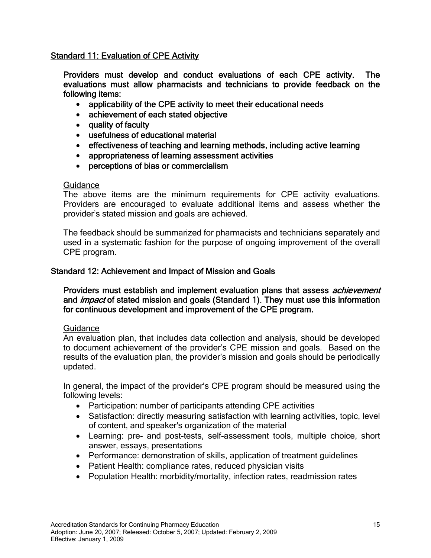# Standard 11: Evaluation of CPE Activity

Providers must develop and conduct evaluations of each CPE activity. The evaluations must allow pharmacists and technicians to provide feedback on the following items:

- applicability of the CPE activity to meet their educational needs
- achievement of each stated objective
- quality of faculty
- usefulness of educational material
- effectiveness of teaching and learning methods, including active learning
- appropriateness of learning assessment activities
- perceptions of bias or commercialism

# **Guidance**

The above items are the minimum requirements for CPE activity evaluations. Providers are encouraged to evaluate additional items and assess whether the provider's stated mission and goals are achieved.

The feedback should be summarized for pharmacists and technicians separately and used in a systematic fashion for the purpose of ongoing improvement of the overall CPE program.

# Standard 12: Achievement and Impact of Mission and Goals

# Providers must establish and implement evaluation plans that assess *achievement* and *impact* of stated mission and goals (Standard 1). They must use this information for continuous development and improvement of the CPE program.

## Guidance

An evaluation plan, that includes data collection and analysis, should be developed to document achievement of the provider's CPE mission and goals. Based on the results of the evaluation plan, the provider's mission and goals should be periodically updated.

In general, the impact of the provider's CPE program should be measured using the following levels:

- Participation: number of participants attending CPE activities
- Satisfaction: directly measuring satisfaction with learning activities, topic, level of content, and speaker's organization of the material
- Learning: pre- and post-tests, self-assessment tools, multiple choice, short answer, essays, presentations
- Performance: demonstration of skills, application of treatment guidelines
- Patient Health: compliance rates, reduced physician visits
- Population Health: morbidity/mortality, infection rates, readmission rates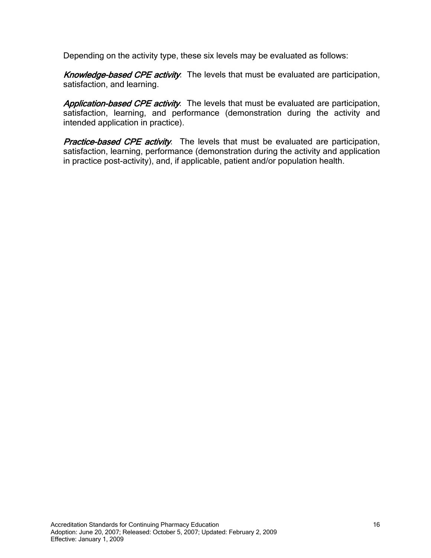Depending on the activity type, these six levels may be evaluated as follows:

Knowledge-based CPE activity. The levels that must be evaluated are participation, satisfaction, and learning.

Application-based CPE activity. The levels that must be evaluated are participation, satisfaction, learning, and performance (demonstration during the activity and intended application in practice).

Practice-based CPE activity. The levels that must be evaluated are participation, satisfaction, learning, performance (demonstration during the activity and application in practice post-activity), and, if applicable, patient and/or population health.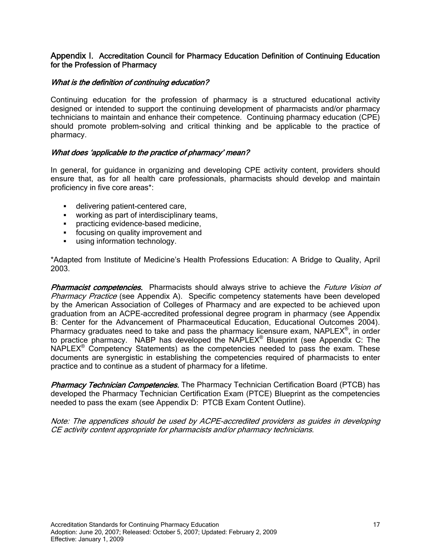## Appendix I. Accreditation Council for Pharmacy Education Definition of Continuing Education for the Profession of Pharmacy

## What is the definition of continuing education?

Continuing education for the profession of pharmacy is a structured educational activity designed or intended to support the continuing development of pharmacists and/or pharmacy technicians to maintain and enhance their competence. Continuing pharmacy education (CPE) should promote problem-solving and critical thinking and be applicable to the practice of pharmacy.

## What does 'applicable to the practice of pharmacy' mean?

In general, for guidance in organizing and developing CPE activity content, providers should ensure that, as for all health care professionals, pharmacists should develop and maintain proficiency in five core areas\*:

- **delivering patient-centered care,**
- **working as part of interdisciplinary teams.**
- **practicing evidence-based medicine,**
- **fi** focusing on quality improvement and
- **using information technology.**

\*Adapted from Institute of Medicine's Health Professions Education: A Bridge to Quality, April 2003.

Pharmacist competencies. Pharmacists should always strive to achieve the Future Vision of Pharmacy Practice (see Appendix A). Specific competency statements have been developed by the American Association of Colleges of Pharmacy and are expected to be achieved upon graduation from an ACPE-accredited professional degree program in pharmacy (see Appendix B: Center for the Advancement of Pharmaceutical Education, Educational Outcomes 2004). Pharmacy graduates need to take and pass the pharmacy licensure exam,  $NAPLEX^{\circ}$ , in order to practice pharmacy. NABP has developed the NAPLEX® Blueprint (see Appendix C: The NAPLEX® Competency Statements) as the competencies needed to pass the exam. These documents are synergistic in establishing the competencies required of pharmacists to enter practice and to continue as a student of pharmacy for a lifetime.

**Pharmacy Technician Competencies.** The Pharmacy Technician Certification Board (PTCB) has developed the Pharmacy Technician Certification Exam (PTCE) Blueprint as the competencies needed to pass the exam (see Appendix D: PTCB Exam Content Outline).

Note: The appendices should be used by ACPE-accredited providers as guides in developing CE activity content appropriate for pharmacists and/or pharmacy technicians.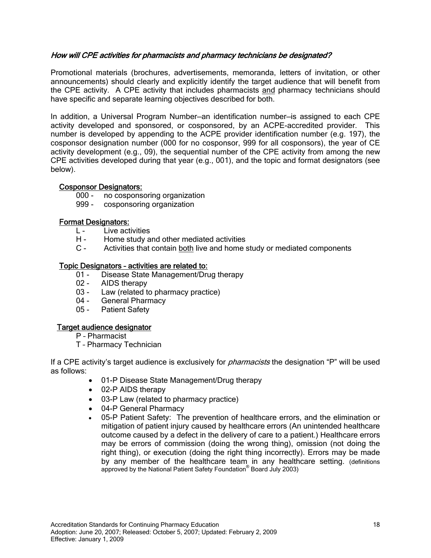# How will CPE activities for pharmacists and pharmacy technicians be designated?

Promotional materials (brochures, advertisements, memoranda, letters of invitation, or other announcements) should clearly and explicitly identify the target audience that will benefit from the CPE activity. A CPE activity that includes pharmacists and pharmacy technicians should have specific and separate learning objectives described for both.

In addition, a Universal Program Number—an identification number—is assigned to each CPE activity developed and sponsored, or cosponsored, by an ACPE-accredited provider. This number is developed by appending to the ACPE provider identification number (e.g. 197), the cosponsor designation number (000 for no cosponsor, 999 for all cosponsors), the year of CE activity development (e.g., 09), the sequential number of the CPE activity from among the new CPE activities developed during that year (e.g., 001), and the topic and format designators (see below).

## Cosponsor Designators:

- 000 no cosponsoring organization
- 999 cosponsoring organization

# Format Designators:

- L Live activities
- H Home study and other mediated activities
- C Activities that contain both live and home study or mediated components

# Topic Designators – activities are related to:

- 01 Disease State Management/Drug therapy
- 02 AIDS therapy
- 03 Law (related to pharmacy practice)
- 04 General Pharmacy
- 05 Patient Safety

# Target audience designator

- P Pharmacist
- T Pharmacy Technician

If a CPE activity's target audience is exclusively for *pharmacists* the designation "P" will be used as follows:

- 01-P Disease State Management/Drug therapy
- 02-P AIDS therapy
- 03-P Law (related to pharmacy practice)
- 04-P General Pharmacy
- 05-P Patient Safety: The prevention of healthcare errors, and the elimination or mitigation of patient injury caused by healthcare errors (An unintended healthcare outcome caused by a defect in the delivery of care to a patient.) Healthcare errors may be errors of commission (doing the wrong thing), omission (not doing the right thing), or execution (doing the right thing incorrectly). Errors may be made by any member of the healthcare team in any healthcare setting. (definitions approved by the National Patient Safety Foundation® Board July 2003)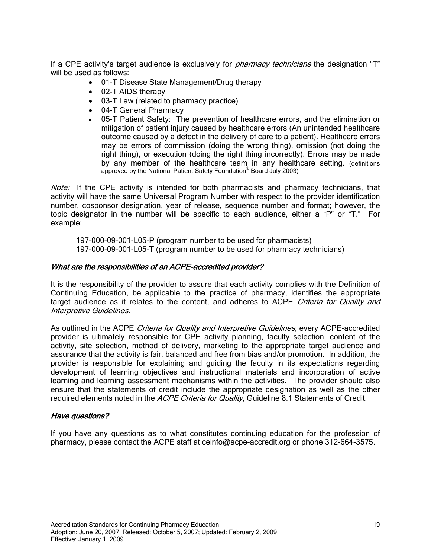If a CPE activity's target audience is exclusively for *pharmacy technicians* the designation "T" will be used as follows:

- 01-T Disease State Management/Drug therapy
- 02-T AIDS therapy
- 03-T Law (related to pharmacy practice)
- 04-T General Pharmacy
- 05-T Patient Safety: The prevention of healthcare errors, and the elimination or mitigation of patient injury caused by healthcare errors (An unintended healthcare outcome caused by a defect in the delivery of care to a patient). Healthcare errors may be errors of commission (doing the wrong thing), omission (not doing the right thing), or execution (doing the right thing incorrectly). Errors may be made by any member of the healthcare team in any healthcare setting. (definitions approved by the National Patient Safety Foundation® Board July 2003)

Note: If the CPE activity is intended for both pharmacists and pharmacy technicians, that activity will have the same Universal Program Number with respect to the provider identification number, cosponsor designation, year of release, sequence number and format; however, the topic designator in the number will be specific to each audience, either a "P" or "T." For example:

 197-000-09-001-L05-P (program number to be used for pharmacists) 197-000-09-001-L05-T (program number to be used for pharmacy technicians)

## What are the responsibilities of an ACPE-accredited provider?

It is the responsibility of the provider to assure that each activity complies with the Definition of Continuing Education, be applicable to the practice of pharmacy, identifies the appropriate target audience as it relates to the content, and adheres to ACPE Criteria for Quality and Interpretive Guidelines.

As outlined in the ACPE Criteria for Quality and Interpretive Guidelines, every ACPE-accredited provider is ultimately responsible for CPE activity planning, faculty selection, content of the activity, site selection, method of delivery, marketing to the appropriate target audience and assurance that the activity is fair, balanced and free from bias and/or promotion. In addition, the provider is responsible for explaining and guiding the faculty in its expectations regarding development of learning objectives and instructional materials and incorporation of active learning and learning assessment mechanisms within the activities. The provider should also ensure that the statements of credit include the appropriate designation as well as the other required elements noted in the ACPE Criteria for Quality, Guideline 8.1 Statements of Credit.

# Have questions?

If you have any questions as to what constitutes continuing education for the profession of pharmacy, please contact the ACPE staff at ceinfo@acpe-accredit.org or phone 312-664-3575.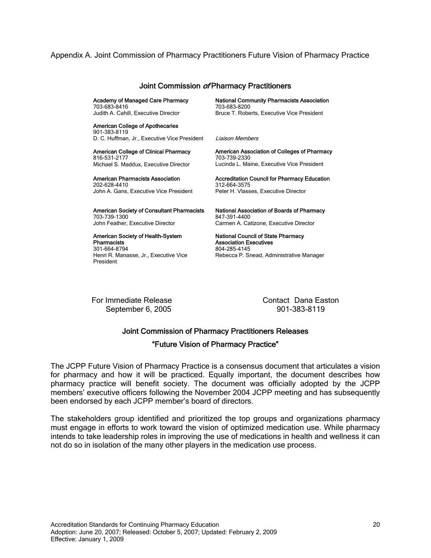## Appendix A. Joint Commission of Pharmacy Practitioners Future Vision of Pharmacy Practice

#### Joint Commission of Pharmacy Practitioners

Academy of Managed Care Pharmacy 703-683-8416 Judith A. Cahill, Executive Director

American College of Apothecaries 901-383-8119 D. C. Huffman, Jr., Executive Vice President

American College of Clinical Pharmacy 816-531-2177 Michael S. Maddux, Executive Director

American Pharmacists Association 202-628-4410 John A. Gans, Executive Vice President

American Society of Consultant Pharmacists 703-739-1300 John Feather, Executive Director

#### American Society of Health-System **Pharmacists**

301-664-8794 Henri R. Manasse, Jr., Executive Vice President

National Community Pharmacists Association 703-683-8200 Bruce T. Roberts, Executive Vice President

Liaison Members

American Association of Colleges of Pharmacy 703-739-2330 Lucinda L. Maine, Executive Vice President

Accreditation Council for Pharmacy Education 312-664-3575 Peter H. Vlasses, Executive Director

National Association of Boards of Pharmacy 847-391-4400 Carmen A. Catizone, Executive Director

National Council of State Pharmacy Association Executives 804-285-4145 Rebecca P. Snead, Administrative Manager

For Immediate Release Contact Dana Easton September 6, 2005 901-383-8119

# Joint Commission of Pharmacy Practitioners Releases "Future Vision of Pharmacy Practice"

The JCPP Future Vision of Pharmacy Practice is a consensus document that articulates a vision for pharmacy and how it will be practiced. Equally important, the document describes how pharmacy practice will benefit society. The document was officially adopted by the JCPP members' executive officers following the November 2004 JCPP meeting and has subsequently been endorsed by each JCPP member's board of directors.

The stakeholders group identified and prioritized the top groups and organizations pharmacy must engage in efforts to work toward the vision of optimized medication use. While pharmacy intends to take leadership roles in improving the use of medications in health and wellness it can not do so in isolation of the many other players in the medication use process.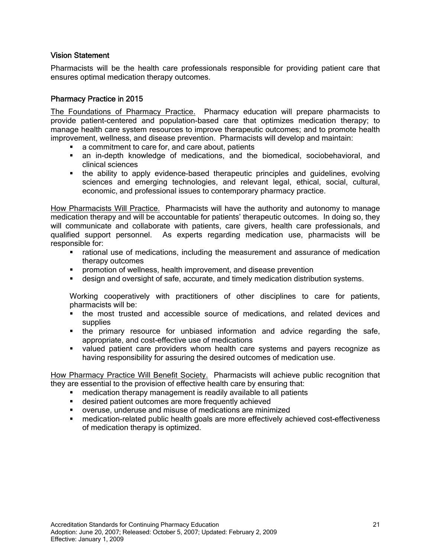## Vision Statement

Pharmacists will be the health care professionals responsible for providing patient care that ensures optimal medication therapy outcomes.

## Pharmacy Practice in 2015

The Foundations of Pharmacy Practice. Pharmacy education will prepare pharmacists to provide patient-centered and population-based care that optimizes medication therapy; to manage health care system resources to improve therapeutic outcomes; and to promote health improvement, wellness, and disease prevention. Pharmacists will develop and maintain:

- a commitment to care for, and care about, patients
- an in-depth knowledge of medications, and the biomedical, sociobehavioral, and clinical sciences
- the ability to apply evidence-based therapeutic principles and guidelines, evolving sciences and emerging technologies, and relevant legal, ethical, social, cultural, economic, and professional issues to contemporary pharmacy practice.

How Pharmacists Will Practice. Pharmacists will have the authority and autonomy to manage medication therapy and will be accountable for patients' therapeutic outcomes. In doing so, they will communicate and collaborate with patients, care givers, health care professionals, and qualified support personnel. As experts regarding medication use, pharmacists will be responsible for:

- rational use of medications, including the measurement and assurance of medication therapy outcomes
- promotion of wellness, health improvement, and disease prevention
- design and oversight of safe, accurate, and timely medication distribution systems.

Working cooperatively with practitioners of other disciplines to care for patients, pharmacists will be:

- the most trusted and accessible source of medications, and related devices and supplies
- the primary resource for unbiased information and advice regarding the safe, appropriate, and cost-effective use of medications
- valued patient care providers whom health care systems and payers recognize as having responsibility for assuring the desired outcomes of medication use.

How Pharmacy Practice Will Benefit Society. Pharmacists will achieve public recognition that they are essential to the provision of effective health care by ensuring that:

- medication therapy management is readily available to all patients
- desired patient outcomes are more frequently achieved
- overuse, underuse and misuse of medications are minimized
- medication-related public health goals are more effectively achieved cost-effectiveness of medication therapy is optimized.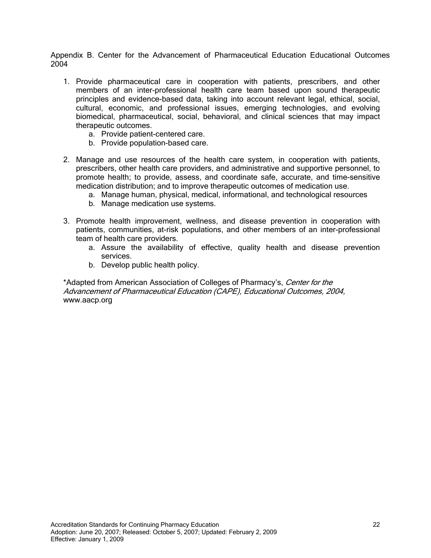Appendix B. Center for the Advancement of Pharmaceutical Education Educational Outcomes 2004

- 1. Provide pharmaceutical care in cooperation with patients, prescribers, and other members of an inter-professional health care team based upon sound therapeutic principles and evidence-based data, taking into account relevant legal, ethical, social, cultural, economic, and professional issues, emerging technologies, and evolving biomedical, pharmaceutical, social, behavioral, and clinical sciences that may impact therapeutic outcomes.
	- a. Provide patient-centered care.
	- b. Provide population-based care.
- 2. Manage and use resources of the health care system, in cooperation with patients, prescribers, other health care providers, and administrative and supportive personnel, to promote health; to provide, assess, and coordinate safe, accurate, and time-sensitive medication distribution; and to improve therapeutic outcomes of medication use.
	- a. Manage human, physical, medical, informational, and technological resources
	- b. Manage medication use systems.
- 3. Promote health improvement, wellness, and disease prevention in cooperation with patients, communities, at-risk populations, and other members of an inter-professional team of health care providers.
	- a. Assure the availability of effective, quality health and disease prevention services.
	- b. Develop public health policy.

\*Adapted from American Association of Colleges of Pharmacy's, Center for the Advancement of Pharmaceutical Education (CAPE), Educational Outcomes, 2004, www.aacp.org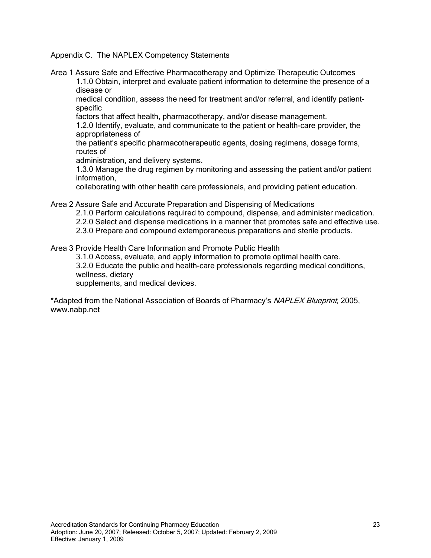Appendix C. The NAPLEX Competency Statements

Area 1 Assure Safe and Effective Pharmacotherapy and Optimize Therapeutic Outcomes 1.1.0 Obtain, interpret and evaluate patient information to determine the presence of a disease or

medical condition, assess the need for treatment and/or referral, and identify patientspecific

factors that affect health, pharmacotherapy, and/or disease management.

1.2.0 Identify, evaluate, and communicate to the patient or health-care provider, the appropriateness of

the patient's specific pharmacotherapeutic agents, dosing regimens, dosage forms, routes of

administration, and delivery systems.

1.3.0 Manage the drug regimen by monitoring and assessing the patient and/or patient information,

collaborating with other health care professionals, and providing patient education.

Area 2 Assure Safe and Accurate Preparation and Dispensing of Medications

2.1.0 Perform calculations required to compound, dispense, and administer medication.

2.2.0 Select and dispense medications in a manner that promotes safe and effective use.

2.3.0 Prepare and compound extemporaneous preparations and sterile products.

Area 3 Provide Health Care Information and Promote Public Health

3.1.0 Access, evaluate, and apply information to promote optimal health care. 3.2.0 Educate the public and health-care professionals regarding medical conditions, wellness, dietary

supplements, and medical devices.

\*Adapted from the National Association of Boards of Pharmacy's NAPLEX Blueprint, 2005, www.nabp.net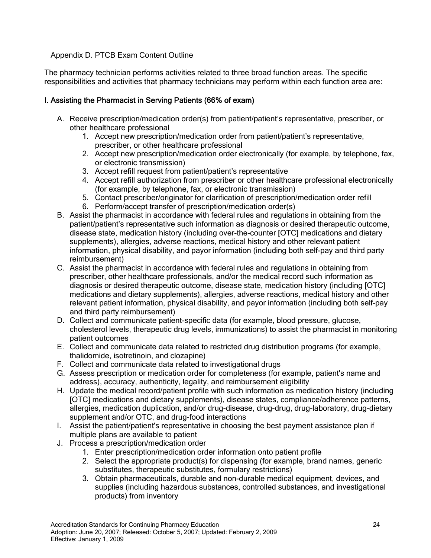# Appendix D. PTCB Exam Content Outline

The pharmacy technician performs activities related to three broad function areas. The specific responsibilities and activities that pharmacy technicians may perform within each function area are:

# I. Assisting the Pharmacist in Serving Patients (66% of exam)

- A. Receive prescription/medication order(s) from patient/patient's representative, prescriber, or other healthcare professional
	- 1. Accept new prescription/medication order from patient/patient's representative, prescriber, or other healthcare professional
	- 2. Accept new prescription/medication order electronically (for example, by telephone, fax, or electronic transmission)
	- 3. Accept refill request from patient/patient's representative
	- 4. Accept refill authorization from prescriber or other healthcare professional electronically (for example, by telephone, fax, or electronic transmission)
	- 5. Contact prescriber/originator for clarification of prescription/medication order refill
	- 6. Perform/accept transfer of prescription/medication order(s)
- B. Assist the pharmacist in accordance with federal rules and regulations in obtaining from the patient/patient's representative such information as diagnosis or desired therapeutic outcome, disease state, medication history (including over-the-counter [OTC] medications and dietary supplements), allergies, adverse reactions, medical history and other relevant patient information, physical disability, and payor information (including both self-pay and third party reimbursement)
- C. Assist the pharmacist in accordance with federal rules and regulations in obtaining from prescriber, other healthcare professionals, and/or the medical record such information as diagnosis or desired therapeutic outcome, disease state, medication history (including [OTC] medications and dietary supplements), allergies, adverse reactions, medical history and other relevant patient information, physical disability, and payor information (including both self-pay and third party reimbursement)
- D. Collect and communicate patient-specific data (for example, blood pressure, glucose, cholesterol levels, therapeutic drug levels, immunizations) to assist the pharmacist in monitoring patient outcomes
- E. Collect and communicate data related to restricted drug distribution programs (for example, thalidomide, isotretinoin, and clozapine)
- F. Collect and communicate data related to investigational drugs
- G. Assess prescription or medication order for completeness (for example, patient's name and address), accuracy, authenticity, legality, and reimbursement eligibility
- H. Update the medical record/patient profile with such information as medication history (including [OTC] medications and dietary supplements), disease states, compliance/adherence patterns, allergies, medication duplication, and/or drug-disease, drug-drug, drug-laboratory, drug-dietary supplement and/or OTC, and drug-food interactions
- I. Assist the patient/patient's representative in choosing the best payment assistance plan if multiple plans are available to patient
- J. Process a prescription/medication order
	- 1. Enter prescription/medication order information onto patient profile
	- 2. Select the appropriate product(s) for dispensing (for example, brand names, generic substitutes, therapeutic substitutes, formulary restrictions)
	- 3. Obtain pharmaceuticals, durable and non-durable medical equipment, devices, and supplies (including hazardous substances, controlled substances, and investigational products) from inventory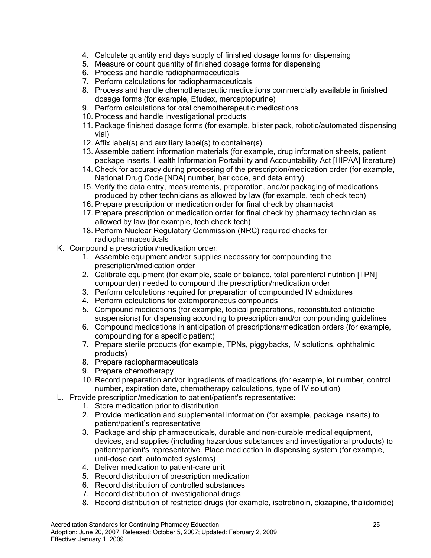- 4. Calculate quantity and days supply of finished dosage forms for dispensing
- 5. Measure or count quantity of finished dosage forms for dispensing
- 6. Process and handle radiopharmaceuticals
- 7. Perform calculations for radiopharmaceuticals
- 8. Process and handle chemotherapeutic medications commercially available in finished dosage forms (for example, Efudex, mercaptopurine)
- 9. Perform calculations for oral chemotherapeutic medications
- 10. Process and handle investigational products
- 11. Package finished dosage forms (for example, blister pack, robotic/automated dispensing vial)
- 12. Affix label(s) and auxiliary label(s) to container(s)
- 13. Assemble patient information materials (for example, drug information sheets, patient package inserts, Health Information Portability and Accountability Act [HIPAA] literature)
- 14. Check for accuracy during processing of the prescription/medication order (for example, National Drug Code [NDA] number, bar code, and data entry)
- 15. Verify the data entry, measurements, preparation, and/or packaging of medications produced by other technicians as allowed by law (for example, tech check tech)
- 16. Prepare prescription or medication order for final check by pharmacist
- 17. Prepare prescription or medication order for final check by pharmacy technician as allowed by law (for example, tech check tech)
- 18. Perform Nuclear Regulatory Commission (NRC) required checks for radiopharmaceuticals
- K. Compound a prescription/medication order:
	- 1. Assemble equipment and/or supplies necessary for compounding the prescription/medication order
	- 2. Calibrate equipment (for example, scale or balance, total parenteral nutrition [TPN] compounder) needed to compound the prescription/medication order
	- 3. Perform calculations required for preparation of compounded IV admixtures
	- 4. Perform calculations for extemporaneous compounds
	- 5. Compound medications (for example, topical preparations, reconstituted antibiotic suspensions) for dispensing according to prescription and/or compounding guidelines
	- 6. Compound medications in anticipation of prescriptions/medication orders (for example, compounding for a specific patient)
	- 7. Prepare sterile products (for example, TPNs, piggybacks, IV solutions, ophthalmic products)
	- 8. Prepare radiopharmaceuticals
	- 9. Prepare chemotherapy
	- 10. Record preparation and/or ingredients of medications (for example, lot number, control number, expiration date, chemotherapy calculations, type of IV solution)
- L. Provide prescription/medication to patient/patient's representative:
	- 1. Store medication prior to distribution
	- 2. Provide medication and supplemental information (for example, package inserts) to patient/patient's representative
	- 3. Package and ship pharmaceuticals, durable and non-durable medical equipment, devices, and supplies (including hazardous substances and investigational products) to patient/patient's representative. Place medication in dispensing system (for example, unit-dose cart, automated systems)
	- 4. Deliver medication to patient-care unit
	- 5. Record distribution of prescription medication
	- 6. Record distribution of controlled substances
	- 7. Record distribution of investigational drugs
	- 8. Record distribution of restricted drugs (for example, isotretinoin, clozapine, thalidomide)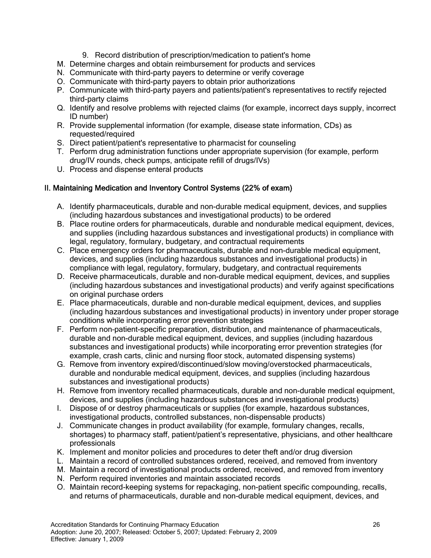- 9. Record distribution of prescription/medication to patient's home
- M. Determine charges and obtain reimbursement for products and services
- N. Communicate with third-party payers to determine or verify coverage
- O. Communicate with third-party payers to obtain prior authorizations
- P. Communicate with third-party payers and patients/patient's representatives to rectify rejected third-party claims
- Q. Identify and resolve problems with rejected claims (for example, incorrect days supply, incorrect ID number)
- R. Provide supplemental information (for example, disease state information, CDs) as requested/required
- S. Direct patient/patient's representative to pharmacist for counseling
- T. Perform drug administration functions under appropriate supervision (for example, perform drug/IV rounds, check pumps, anticipate refill of drugs/IVs)
- U. Process and dispense enteral products

# II. Maintaining Medication and Inventory Control Systems (22% of exam)

- A. Identify pharmaceuticals, durable and non-durable medical equipment, devices, and supplies (including hazardous substances and investigational products) to be ordered
- B. Place routine orders for pharmaceuticals, durable and nondurable medical equipment, devices, and supplies (including hazardous substances and investigational products) in compliance with legal, regulatory, formulary, budgetary, and contractual requirements
- C. Place emergency orders for pharmaceuticals, durable and non-durable medical equipment, devices, and supplies (including hazardous substances and investigational products) in compliance with legal, regulatory, formulary, budgetary, and contractual requirements
- D. Receive pharmaceuticals, durable and non-durable medical equipment, devices, and supplies (including hazardous substances and investigational products) and verify against specifications on original purchase orders
- E. Place pharmaceuticals, durable and non-durable medical equipment, devices, and supplies (including hazardous substances and investigational products) in inventory under proper storage conditions while incorporating error prevention strategies
- F. Perform non–patient-specific preparation, distribution, and maintenance of pharmaceuticals, durable and non-durable medical equipment, devices, and supplies (including hazardous substances and investigational products) while incorporating error prevention strategies (for example, crash carts, clinic and nursing floor stock, automated dispensing systems)
- G. Remove from inventory expired/discontinued/slow moving/overstocked pharmaceuticals, durable and nondurable medical equipment, devices, and supplies (including hazardous substances and investigational products)
- H. Remove from inventory recalled pharmaceuticals, durable and non-durable medical equipment, devices, and supplies (including hazardous substances and investigational products)
- I. Dispose of or destroy pharmaceuticals or supplies (for example, hazardous substances, investigational products, controlled substances, non-dispensable products)
- J. Communicate changes in product availability (for example, formulary changes, recalls, shortages) to pharmacy staff, patient/patient's representative, physicians, and other healthcare professionals
- K. Implement and monitor policies and procedures to deter theft and/or drug diversion
- L. Maintain a record of controlled substances ordered, received, and removed from inventory
- M. Maintain a record of investigational products ordered, received, and removed from inventory
- N. Perform required inventories and maintain associated records
- O. Maintain record-keeping systems for repackaging, non-patient specific compounding, recalls, and returns of pharmaceuticals, durable and non-durable medical equipment, devices, and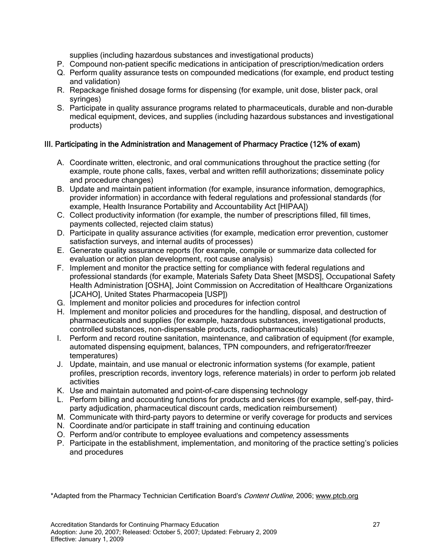supplies (including hazardous substances and investigational products)

- P. Compound non-patient specific medications in anticipation of prescription/medication orders
- Q. Perform quality assurance tests on compounded medications (for example, end product testing and validation)
- R. Repackage finished dosage forms for dispensing (for example, unit dose, blister pack, oral syringes)
- S. Participate in quality assurance programs related to pharmaceuticals, durable and non-durable medical equipment, devices, and supplies (including hazardous substances and investigational products)

# III. Participating in the Administration and Management of Pharmacy Practice (12% of exam)

- A. Coordinate written, electronic, and oral communications throughout the practice setting (for example, route phone calls, faxes, verbal and written refill authorizations; disseminate policy and procedure changes)
- B. Update and maintain patient information (for example, insurance information, demographics, provider information) in accordance with federal regulations and professional standards (for example, Health Insurance Portability and Accountability Act [HIPAA])
- C. Collect productivity information (for example, the number of prescriptions filled, fill times, payments collected, rejected claim status)
- D. Participate in quality assurance activities (for example, medication error prevention, customer satisfaction surveys, and internal audits of processes)
- E. Generate quality assurance reports (for example, compile or summarize data collected for evaluation or action plan development, root cause analysis)
- F. Implement and monitor the practice setting for compliance with federal regulations and professional standards (for example, Materials Safety Data Sheet [MSDS], Occupational Safety Health Administration [OSHA], Joint Commission on Accreditation of Healthcare Organizations [JCAHO], United States Pharmacopeia [USP])
- G. Implement and monitor policies and procedures for infection control
- H. Implement and monitor policies and procedures for the handling, disposal, and destruction of pharmaceuticals and supplies (for example, hazardous substances, investigational products, controlled substances, non-dispensable products, radiopharmaceuticals)
- I. Perform and record routine sanitation, maintenance, and calibration of equipment (for example, automated dispensing equipment, balances, TPN compounders, and refrigerator/freezer temperatures)
- J. Update, maintain, and use manual or electronic information systems (for example, patient profiles, prescription records, inventory logs, reference materials) in order to perform job related activities
- K. Use and maintain automated and point-of-care dispensing technology
- L. Perform billing and accounting functions for products and services (for example, self-pay, thirdparty adjudication, pharmaceutical discount cards, medication reimbursement)
- M. Communicate with third-party payors to determine or verify coverage for products and services
- N. Coordinate and/or participate in staff training and continuing education
- O. Perform and/or contribute to employee evaluations and competency assessments
- P. Participate in the establishment, implementation, and monitoring of the practice setting's policies and procedures

\*Adapted from the Pharmacy Technician Certification Board's Content Outline, 2006; www.ptcb.org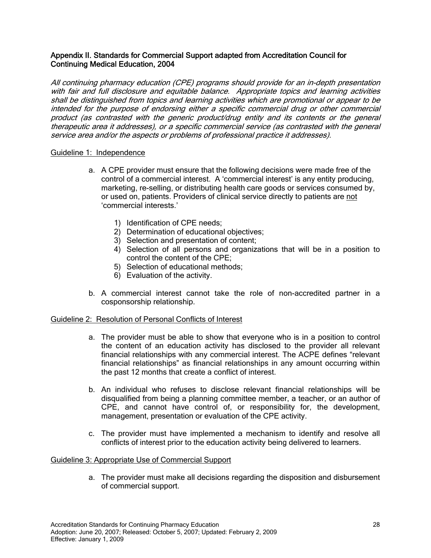## Appendix II. Standards for Commercial Support adapted from Accreditation Council for Continuing Medical Education, 2004

All continuing pharmacy education (CPE) programs should provide for an in-depth presentation with fair and full disclosure and equitable balance. Appropriate topics and learning activities shall be distinguished from topics and learning activities which are promotional or appear to be intended for the purpose of endorsing either a specific commercial drug or other commercial product (as contrasted with the generic product/drug entity and its contents or the general therapeutic area it addresses), or a specific commercial service (as contrasted with the general service area and/or the aspects or problems of professional practice it addresses).

## Guideline 1: Independence

- a. A CPE provider must ensure that the following decisions were made free of the control of a commercial interest. A 'commercial interest' is any entity producing, marketing, re-selling, or distributing health care goods or services consumed by, or used on, patients. Providers of clinical service directly to patients are not 'commercial interests.'
	- 1) Identification of CPE needs;
	- 2) Determination of educational objectives;
	- 3) Selection and presentation of content;
	- 4) Selection of all persons and organizations that will be in a position to control the content of the CPE;
	- 5) Selection of educational methods;
	- 6) Evaluation of the activity.
- b. A commercial interest cannot take the role of non-accredited partner in a cosponsorship relationship.

#### Guideline 2: Resolution of Personal Conflicts of Interest

- a. The provider must be able to show that everyone who is in a position to control the content of an education activity has disclosed to the provider all relevant financial relationships with any commercial interest. The ACPE defines "relevant financial relationships" as financial relationships in any amount occurring within the past 12 months that create a conflict of interest.
- b. An individual who refuses to disclose relevant financial relationships will be disqualified from being a planning committee member, a teacher, or an author of CPE, and cannot have control of, or responsibility for, the development, management, presentation or evaluation of the CPE activity.
- c. The provider must have implemented a mechanism to identify and resolve all conflicts of interest prior to the education activity being delivered to learners.

#### Guideline 3: Appropriate Use of Commercial Support

a. The provider must make all decisions regarding the disposition and disbursement of commercial support.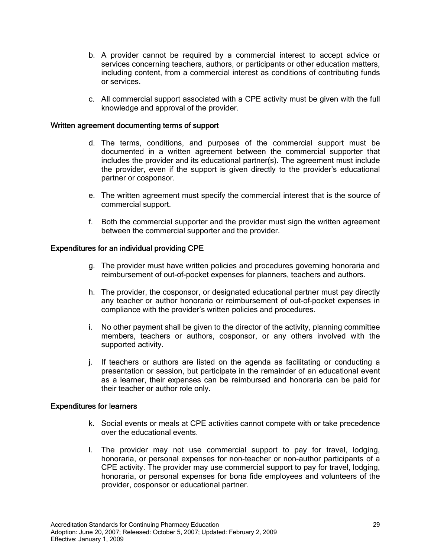- b. A provider cannot be required by a commercial interest to accept advice or services concerning teachers, authors, or participants or other education matters, including content, from a commercial interest as conditions of contributing funds or services.
- c. All commercial support associated with a CPE activity must be given with the full knowledge and approval of the provider.

## Written agreement documenting terms of support

- d. The terms, conditions, and purposes of the commercial support must be documented in a written agreement between the commercial supporter that includes the provider and its educational partner(s). The agreement must include the provider, even if the support is given directly to the provider's educational partner or cosponsor.
- e. The written agreement must specify the commercial interest that is the source of commercial support.
- f. Both the commercial supporter and the provider must sign the written agreement between the commercial supporter and the provider.

#### Expenditures for an individual providing CPE

- g. The provider must have written policies and procedures governing honoraria and reimbursement of out-of-pocket expenses for planners, teachers and authors.
- h. The provider, the cosponsor, or designated educational partner must pay directly any teacher or author honoraria or reimbursement of out-of–pocket expenses in compliance with the provider's written policies and procedures.
- i. No other payment shall be given to the director of the activity, planning committee members, teachers or authors, cosponsor, or any others involved with the supported activity.
- j. If teachers or authors are listed on the agenda as facilitating or conducting a presentation or session, but participate in the remainder of an educational event as a learner, their expenses can be reimbursed and honoraria can be paid for their teacher or author role only.

#### Expenditures for learners

- k. Social events or meals at CPE activities cannot compete with or take precedence over the educational events.
- l. The provider may not use commercial support to pay for travel, lodging, honoraria, or personal expenses for non-teacher or non-author participants of a CPE activity. The provider may use commercial support to pay for travel, lodging, honoraria, or personal expenses for bona fide employees and volunteers of the provider, cosponsor or educational partner.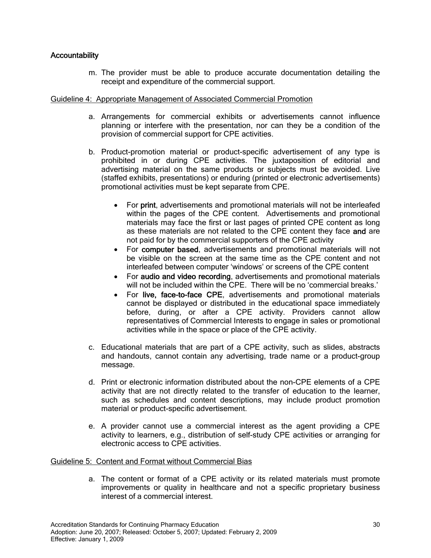# **Accountability**

m. The provider must be able to produce accurate documentation detailing the receipt and expenditure of the commercial support.

## Guideline 4: Appropriate Management of Associated Commercial Promotion

- a. Arrangements for commercial exhibits or advertisements cannot influence planning or interfere with the presentation, nor can they be a condition of the provision of commercial support for CPE activities.
- b. Product-promotion material or product-specific advertisement of any type is prohibited in or during CPE activities. The juxtaposition of editorial and advertising material on the same products or subjects must be avoided. Live (staffed exhibits, presentations) or enduring (printed or electronic advertisements) promotional activities must be kept separate from CPE.
	- For print, advertisements and promotional materials will not be interleafed within the pages of the CPE content. Advertisements and promotional materials may face the first or last pages of printed CPE content as long as these materials are not related to the CPE content they face and are not paid for by the commercial supporters of the CPE activity
	- For computer based, advertisements and promotional materials will not be visible on the screen at the same time as the CPE content and not interleafed between computer 'windows' or screens of the CPE content
	- For audio and video recording, advertisements and promotional materials will not be included within the CPE. There will be no 'commercial breaks.'
	- For live, face-to-face CPE, advertisements and promotional materials cannot be displayed or distributed in the educational space immediately before, during, or after a CPE activity. Providers cannot allow representatives of Commercial Interests to engage in sales or promotional activities while in the space or place of the CPE activity.
- c. Educational materials that are part of a CPE activity, such as slides, abstracts and handouts, cannot contain any advertising, trade name or a product-group message.
- d. Print or electronic information distributed about the non-CPE elements of a CPE activity that are not directly related to the transfer of education to the learner, such as schedules and content descriptions, may include product promotion material or product-specific advertisement.
- e. A provider cannot use a commercial interest as the agent providing a CPE activity to learners, e.g., distribution of self-study CPE activities or arranging for electronic access to CPE activities.

#### Guideline 5: Content and Format without Commercial Bias

a. The content or format of a CPE activity or its related materials must promote improvements or quality in healthcare and not a specific proprietary business interest of a commercial interest.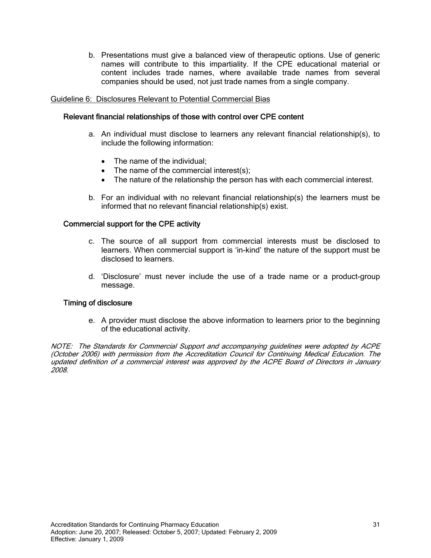b. Presentations must give a balanced view of therapeutic options. Use of generic names will contribute to this impartiality. If the CPE educational material or content includes trade names, where available trade names from several companies should be used, not just trade names from a single company.

## Guideline 6: Disclosures Relevant to Potential Commercial Bias

## Relevant financial relationships of those with control over CPE content

- a. An individual must disclose to learners any relevant financial relationship(s), to include the following information:
	- The name of the individual;
	- The name of the commercial interest(s);
	- The nature of the relationship the person has with each commercial interest.
- b. For an individual with no relevant financial relationship(s) the learners must be informed that no relevant financial relationship(s) exist.

## Commercial support for the CPE activity

- c. The source of all support from commercial interests must be disclosed to learners. When commercial support is 'in-kind' the nature of the support must be disclosed to learners.
- d. 'Disclosure' must never include the use of a trade name or a product-group message.

## Timing of disclosure

e. A provider must disclose the above information to learners prior to the beginning of the educational activity.

NOTE: The Standards for Commercial Support and accompanying guidelines were adopted by ACPE (October 2006) with permission from the Accreditation Council for Continuing Medical Education. The updated definition of a commercial interest was approved by the ACPE Board of Directors in January 2008.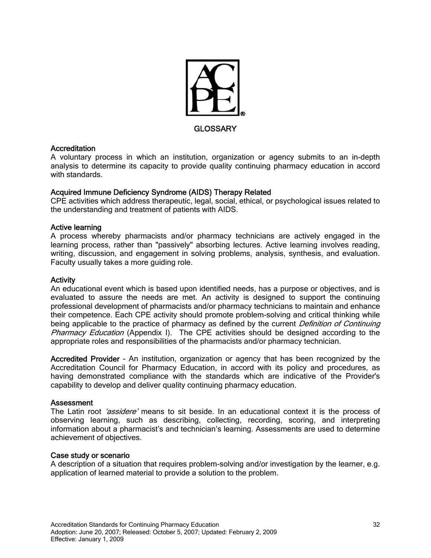

## **Accreditation**

A voluntary process in which an institution, organization or agency submits to an in-depth analysis to determine its capacity to provide quality continuing pharmacy education in accord with standards.

## Acquired Immune Deficiency Syndrome (AIDS) Therapy Related

CPE activities which address therapeutic, legal, social, ethical, or psychological issues related to the understanding and treatment of patients with AIDS.

## Active learning

A process whereby pharmacists and/or pharmacy technicians are actively engaged in the learning process, rather than "passively" absorbing lectures. Active learning involves reading, writing, discussion, and engagement in solving problems, analysis, synthesis, and evaluation. Faculty usually takes a more guiding role.

#### **Activity**

An educational event which is based upon identified needs, has a purpose or objectives, and is evaluated to assure the needs are met. An activity is designed to support the continuing professional development of pharmacists and/or pharmacy technicians to maintain and enhance their competence. Each CPE activity should promote problem-solving and critical thinking while being applicable to the practice of pharmacy as defined by the current *Definition of Continuing* Pharmacy Education (Appendix I). The CPE activities should be designed according to the appropriate roles and responsibilities of the pharmacists and/or pharmacy technician.

Accredited Provider - An institution, organization or agency that has been recognized by the Accreditation Council for Pharmacy Education, in accord with its policy and procedures, as having demonstrated compliance with the standards which are indicative of the Provider's capability to develop and deliver quality continuing pharmacy education.

#### **Assessment**

The Latin root *'assidere'* means to sit beside. In an educational context it is the process of observing learning, such as describing, collecting, recording, scoring, and interpreting information about a pharmacist's and technician's learning. Assessments are used to determine achievement of objectives.

#### Case study or scenario

A description of a situation that requires problem-solving and/or investigation by the learner, e.g. application of learned material to provide a solution to the problem.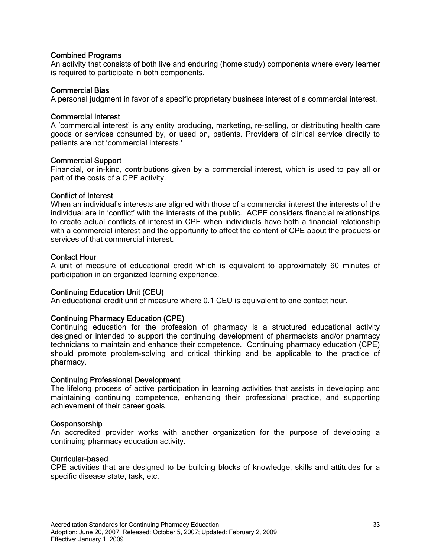## Combined Programs

An activity that consists of both live and enduring (home study) components where every learner is required to participate in both components.

#### Commercial Bias

A personal judgment in favor of a specific proprietary business interest of a commercial interest.

#### Commercial Interest

A 'commercial interest' is any entity producing, marketing, re-selling, or distributing health care goods or services consumed by, or used on, patients. Providers of clinical service directly to patients are not 'commercial interests.'

#### Commercial Support

Financial, or in-kind, contributions given by a commercial interest, which is used to pay all or part of the costs of a CPE activity.

#### Conflict of Interest

When an individual's interests are aligned with those of a commercial interest the interests of the individual are in 'conflict' with the interests of the public. ACPE considers financial relationships to create actual conflicts of interest in CPE when individuals have both a financial relationship with a commercial interest and the opportunity to affect the content of CPE about the products or services of that commercial interest.

#### Contact Hour

A unit of measure of educational credit which is equivalent to approximately 60 minutes of participation in an organized learning experience.

#### Continuing Education Unit (CEU)

An educational credit unit of measure where 0.1 CEU is equivalent to one contact hour.

#### Continuing Pharmacy Education (CPE)

Continuing education for the profession of pharmacy is a structured educational activity designed or intended to support the continuing development of pharmacists and/or pharmacy technicians to maintain and enhance their competence. Continuing pharmacy education (CPE) should promote problem-solving and critical thinking and be applicable to the practice of pharmacy.

#### Continuing Professional Development

The lifelong process of active participation in learning activities that assists in developing and maintaining continuing competence, enhancing their professional practice, and supporting achievement of their career goals.

#### Cosponsorship

An accredited provider works with another organization for the purpose of developing a continuing pharmacy education activity.

#### Curricular-based

CPE activities that are designed to be building blocks of knowledge, skills and attitudes for a specific disease state, task, etc.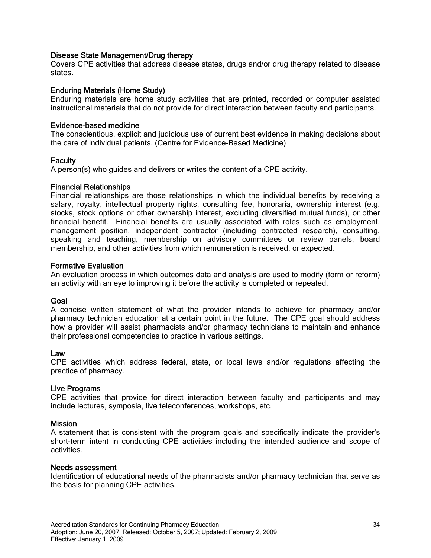## Disease State Management/Drug therapy

Covers CPE activities that address disease states, drugs and/or drug therapy related to disease states.

## Enduring Materials (Home Study)

Enduring materials are home study activities that are printed, recorded or computer assisted instructional materials that do not provide for direct interaction between faculty and participants.

## Evidence-based medicine

The conscientious, explicit and judicious use of current best evidence in making decisions about the care of individual patients. (Centre for Evidence-Based Medicine)

## **Faculty**

A person(s) who guides and delivers or writes the content of a CPE activity.

#### Financial Relationships

Financial relationships are those relationships in which the individual benefits by receiving a salary, royalty, intellectual property rights, consulting fee, honoraria, ownership interest (e.g. stocks, stock options or other ownership interest, excluding diversified mutual funds), or other financial benefit. Financial benefits are usually associated with roles such as employment, management position, independent contractor (including contracted research), consulting, speaking and teaching, membership on advisory committees or review panels, board membership, and other activities from which remuneration is received, or expected.

#### Formative Evaluation

An evaluation process in which outcomes data and analysis are used to modify (form or reform) an activity with an eye to improving it before the activity is completed or repeated.

#### Goal

A concise written statement of what the provider intends to achieve for pharmacy and/or pharmacy technician education at a certain point in the future. The CPE goal should address how a provider will assist pharmacists and/or pharmacy technicians to maintain and enhance their professional competencies to practice in various settings.

#### Law

CPE activities which address federal, state, or local laws and/or regulations affecting the practice of pharmacy.

#### Live Programs

CPE activities that provide for direct interaction between faculty and participants and may include lectures, symposia, live teleconferences, workshops, etc.

#### Mission

A statement that is consistent with the program goals and specifically indicate the provider's short-term intent in conducting CPE activities including the intended audience and scope of activities.

#### Needs assessment

Identification of educational needs of the pharmacists and/or pharmacy technician that serve as the basis for planning CPE activities.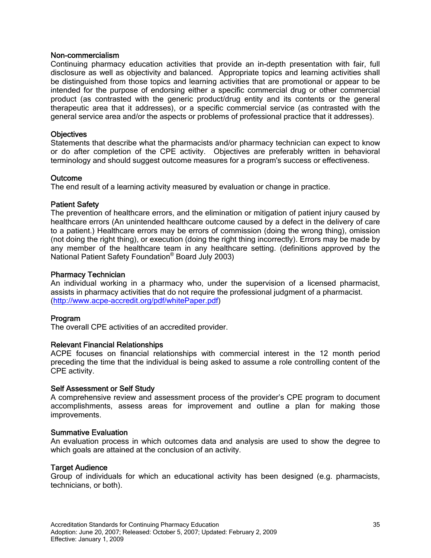## Non-commercialism

Continuing pharmacy education activities that provide an in-depth presentation with fair, full disclosure as well as objectivity and balanced. Appropriate topics and learning activities shall be distinguished from those topics and learning activities that are promotional or appear to be intended for the purpose of endorsing either a specific commercial drug or other commercial product (as contrasted with the generic product/drug entity and its contents or the general therapeutic area that it addresses), or a specific commercial service (as contrasted with the general service area and/or the aspects or problems of professional practice that it addresses).

## **Objectives**

Statements that describe what the pharmacists and/or pharmacy technician can expect to know or do after completion of the CPE activity. Objectives are preferably written in behavioral terminology and should suggest outcome measures for a program's success or effectiveness.

#### **Outcome**

The end result of a learning activity measured by evaluation or change in practice.

## Patient Safety

The prevention of healthcare errors, and the elimination or mitigation of patient injury caused by healthcare errors (An unintended healthcare outcome caused by a defect in the delivery of care to a patient.) Healthcare errors may be errors of commission (doing the wrong thing), omission (not doing the right thing), or execution (doing the right thing incorrectly). Errors may be made by any member of the healthcare team in any healthcare setting. (definitions approved by the National Patient Safety Foundation® Board July 2003)

## Pharmacy Technician

An individual working in a pharmacy who, under the supervision of a licensed pharmacist, assists in pharmacy activities that do not require the professional judgment of a pharmacist. (http://www.acpe-accredit.org/pdf/whitePaper.pdf)

## Program

The overall CPE activities of an accredited provider.

## Relevant Financial Relationships

ACPE focuses on financial relationships with commercial interest in the 12 month period preceding the time that the individual is being asked to assume a role controlling content of the CPE activity.

#### Self Assessment or Self Study

A comprehensive review and assessment process of the provider's CPE program to document accomplishments, assess areas for improvement and outline a plan for making those improvements.

#### Summative Evaluation

An evaluation process in which outcomes data and analysis are used to show the degree to which goals are attained at the conclusion of an activity.

#### **Target Audience**

Group of individuals for which an educational activity has been designed (e.g. pharmacists, technicians, or both).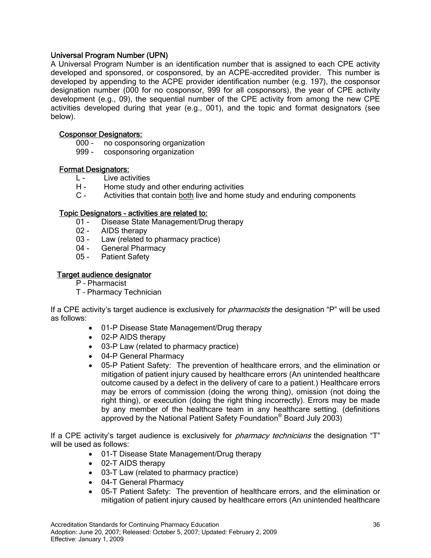# Universal Program Number (UPN)

A Universal Program Number is an identification number that is assigned to each CPE activity developed and sponsored, or cosponsored, by an ACPE-accredited provider. This number is developed by appending to the ACPE provider identification number (e.g. 197), the cosponsor designation number (000 for no cosponsor, 999 for all cosponsors), the year of CPE activity development (e.g., 09), the sequential number of the CPE activity from among the new CPE activities developed during that year (e.g., 001), and the topic and format designators (see below).

## Cosponsor Designators:

- 000 no cosponsoring organization<br>999 cosponsoring organization
- cosponsoring organization

# Format Designators:

- L Live activities
- H Home study and other enduring activities
- C Activities that contain both live and home study and enduring components

## Topic Designators – activities are related to:

- 01 Disease State Management/Drug therapy
- 02 AIDS therapy
- 03 Law (related to pharmacy practice)
- 04 General Pharmacy<br>05 Patient Safety
- Patient Safety

# Target audience designator

- P Pharmacist
- T Pharmacy Technician

If a CPE activity's target audience is exclusively for *pharmacists* the designation "P" will be used as follows:

- 01-P Disease State Management/Drug therapy
- 02-P AIDS therapy
- 03-P Law (related to pharmacy practice)
- 04-P General Pharmacy
- 05-P Patient Safety: The prevention of healthcare errors, and the elimination or mitigation of patient injury caused by healthcare errors (An unintended healthcare outcome caused by a defect in the delivery of care to a patient.) Healthcare errors may be errors of commission (doing the wrong thing), omission (not doing the right thing), or execution (doing the right thing incorrectly). Errors may be made by any member of the healthcare team in any healthcare setting. (definitions approved by the National Patient Safety Foundation® Board July 2003)

If a CPE activity's target audience is exclusively for *pharmacy technicians* the designation "T" will be used as follows:

- 01-T Disease State Management/Drug therapy
- 02-T AIDS therapy
- 03-T Law (related to pharmacy practice)
- 04-T General Pharmacy
- 05-T Patient Safety: The prevention of healthcare errors, and the elimination or mitigation of patient injury caused by healthcare errors (An unintended healthcare